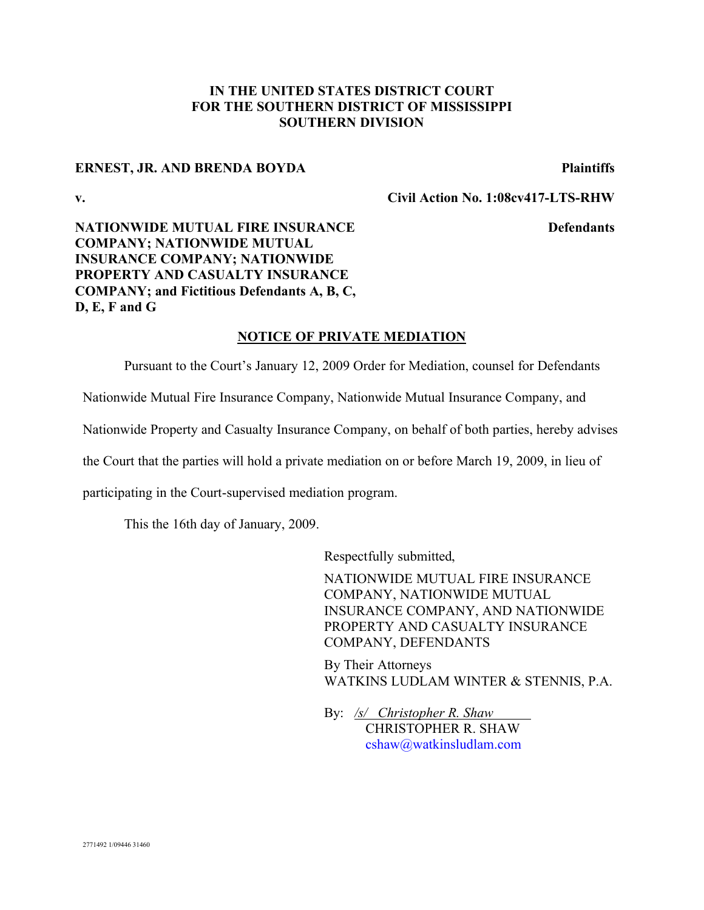## **IN THE UNITED STATES DISTRICT COURT FOR THE SOUTHERN DISTRICT OF MISSISSIPPI SOUTHERN DIVISION**

### **ERNEST, JR. AND BRENDA BOYDA Plaintiffs**

**v. Civil Action No. 1:08cv417-LTS-RHW**

**Defendants**

# **NATIONWIDE MUTUAL FIRE INSURANCE COMPANY; NATIONWIDE MUTUAL INSURANCE COMPANY; NATIONWIDE PROPERTY AND CASUALTY INSURANCE COMPANY; and Fictitious Defendants A, B, C, D, E, F and G**

### **NOTICE OF PRIVATE MEDIATION**

Pursuant to the Court's January 12, 2009 Order for Mediation, counsel for Defendants

Nationwide Mutual Fire Insurance Company, Nationwide Mutual Insurance Company, and

Nationwide Property and Casualty Insurance Company, on behalf of both parties, hereby advises

the Court that the parties will hold a private mediation on or before March 19, 2009, in lieu of

participating in the Court-supervised mediation program.

This the 16th day of January, 2009.

Respectfully submitted,

NATIONWIDE MUTUAL FIRE INSURANCE COMPANY, NATIONWIDE MUTUAL INSURANCE COMPANY, AND NATIONWIDE PROPERTY AND CASUALTY INSURANCE COMPANY, DEFENDANTS

By Their Attorneys WATKINS LUDLAM WINTER & STENNIS, P.A.

By: */s/ Christopher R. Shaw* CHRISTOPHER R. SHAW cshaw@watkinsludlam.com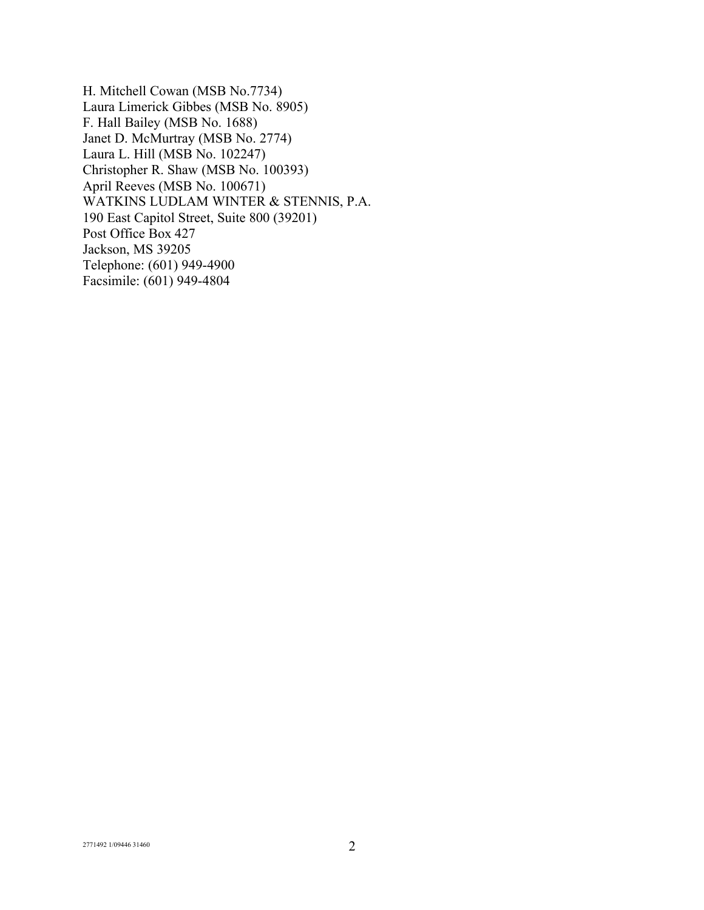H. Mitchell Cowan (MSB No.7734) Laura Limerick Gibbes (MSB No. 8905) F. Hall Bailey (MSB No. 1688) Janet D. McMurtray (MSB No. 2774) Laura L. Hill (MSB No. 102247) Christopher R. Shaw (MSB No. 100393) April Reeves (MSB No. 100671) WATKINS LUDLAM WINTER & STENNIS, P.A. 190 East Capitol Street, Suite 800 (39201) Post Office Box 427 Jackson, MS 39205 Telephone: (601) 949-4900 Facsimile: (601) 949-4804